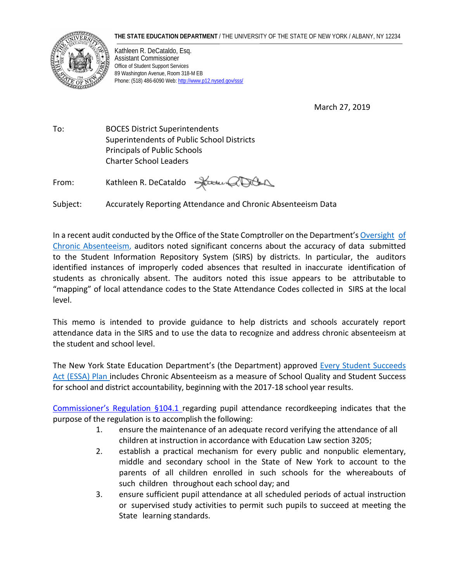## **THE STATE EDUCATION DEPARTMENT** / THE UNIVERSITY OF THE STATE OF NEW YORK / ALBANY, NY 12234



Kathleen R. DeCataldo, Esq. Assistant Commissioner Office of Student Support Services 89 Washington Avenue, Room 318-M EB Phone: (518) 486-6090 Web[: http://www.p12.nysed.gov/sss/](http://www.p12.nysed.gov/sss/)

March 27, 2019

To: BOCES District Superintendents Superintendents of Public School Districts Principals of Public Schools Charter School Leaders

From: Kathleen R. DeCataldo

Subject: Accurately Reporting Attendance and Chronic Absenteeism Data

In a recent audit conducted by the Office of the State Comptroller on the Department's [Oversight](https://osc.state.ny.us/audits/allaudits/093018/sga-2018-17s52.pdf) [of](https://osc.state.ny.us/audits/allaudits/093018/sga-2018-17s52.pdf) Chronic [Absenteeism,](https://osc.state.ny.us/audits/allaudits/093018/sga-2018-17s52.pdf) auditors noted significant concerns about the accuracy of data submitted to the Student Information Repository System (SIRS) by districts. In particular, the auditors identified instances of improperly coded absences that resulted in inaccurate identification of students as chronically absent. The auditors noted this issue appears to be attributable to "mapping" of local attendance codes to the State Attendance Codes collected in SIRS at the local level.

This memo is intended to provide guidance to help districts and schools accurately report attendance data in the SIRS and to use the data to recognize and address chronic absenteeism at the student and school level.

The New York State Education Department's (the Department) approved Every Student [Succeeds](http://www.nysed.gov/essa/nys-essa-plan) Act [\(ESSA\)](http://www.nysed.gov/essa/nys-essa-plan) Plan includes Chronic Absenteeism as a measure of School Quality and Student Success for school and district accountability, beginning with the 2017-18 school year results.

[Commissioner's](https://govt.westlaw.com/nycrr/Document/I3653c882c22211ddb29d8bee567fca9f?viewType=FullText&originationContext=documenttoc&transitionType=CategoryPageItem&contextData=(sc.Default)) Regulation §104.1 regarding pupil attendance recordkeeping indicates that the purpose of the regulation is to accomplish the following:

- 1. ensure the maintenance of an adequate record verifying the attendance of all children at instruction in accordance with Education Law section 3205;
- 2. establish a practical mechanism for every public and nonpublic elementary, middle and secondary school in the State of New York to account to the parents of all children enrolled in such schools for the whereabouts of such children throughout each school day; and
- 3. ensure sufficient pupil attendance at all scheduled periods of actual instruction or supervised study activities to permit such pupils to succeed at meeting the State learning standards.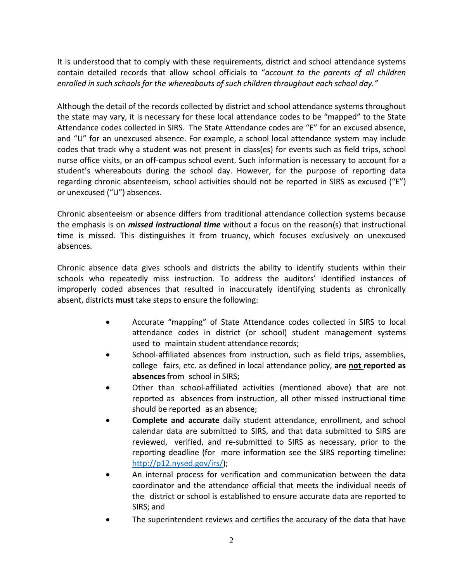It is understood that to comply with these requirements, district and school attendance systems contain detailed records that allow school officials to "*account to the parents of all children enrolled in such schools for the whereabouts of such children throughout each school day."*

Although the detail of the records collected by district and school attendance systems throughout the state may vary, it is necessary for these local attendance codes to be "mapped" to the State Attendance codes collected in SIRS. The State Attendance codes are "E" for an excused absence, and "U" for an unexcused absence. For example, a school local attendance system may include codes that track why a student was not present in class(es) for events such as field trips, school nurse office visits, or an off-campus school event. Such information is necessary to account for a student's whereabouts during the school day. However, for the purpose of reporting data regarding chronic absenteeism, school activities should not be reported in SIRS as excused ("E") or unexcused ("U") absences.

Chronic absenteeism or absence differs from traditional attendance collection systems because the emphasis is on *missed instructional time* without a focus on the reason(s) that instructional time is missed. This distinguishes it from truancy, which focuses exclusively on unexcused absences.

Chronic absence data gives schools and districts the ability to identify students within their schools who repeatedly miss instruction. To address the auditors' identified instances of improperly coded absences that resulted in inaccurately identifying students as chronically absent, districts **must** take steps to ensure the following:

- Accurate "mapping" of State Attendance codes collected in SIRS to local attendance codes in district (or school) student management systems used to maintain student attendance records;
- School-affiliated absences from instruction, such as field trips, assemblies, college fairs, etc. as defined in local attendance policy, **are not reported as absences**from school in SIRS;
- Other than school-affiliated activities (mentioned above) that are not reported as absences from instruction, all other missed instructional time should be reported as an absence;
- **Complete and accurate** daily student attendance, enrollment, and school calendar data are submitted to SIRS, and that data submitted to SIRS are reviewed, verified, and re-submitted to SIRS as necessary, prior to the reporting deadline (for more information see the SIRS reporting timeline: [http://p12.nysed.gov/irs/\)](http://p12.nysed.gov/irs/);
- An internal process for verification and communication between the data coordinator and the attendance official that meets the individual needs of the district or school is established to ensure accurate data are reported to SIRS; and
- The superintendent reviews and certifies the accuracy of the data that have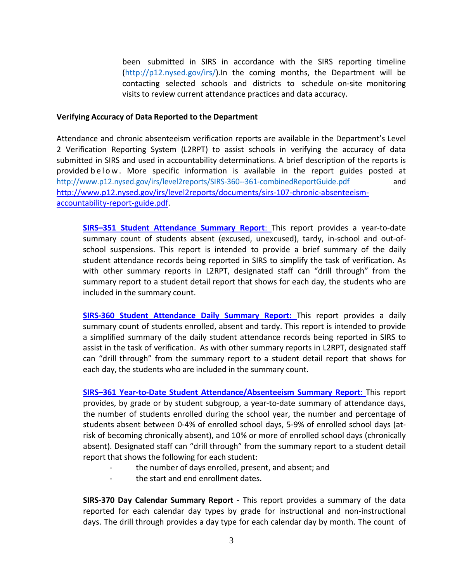been submitted in SIRS in accordance with the SIRS reporting timeline [\(http://p12.nysed.gov/irs/\)](http://p12.nysed.gov/irs/).In the coming months, the Department will be contacting selected schools and districts to schedule on-site monitoring visits to review current attendance practices and data accuracy.

## **Verifying Accuracy of Data Reported to the Department**

Attendance and chronic absenteeism verification reports are available in the Department's Level 2 Verification Reporting System (L2RPT) to assist schools in verifying the accuracy of data submitted in SIRS and used in accountability determinations. A brief description of the reports is provided below . More specific information is available in the report guides posted at <http://www.p12.nysed.gov/irs/level2reports/SIRS-360--361-combinedReportGuide.pdf>and [http://www.p12.nysed.gov/irs/level2reports/documents/sirs-107-chronic-absenteeism](http://www.p12.nysed.gov/irs/level2reports/documents/sirs-107-chronic-absenteeism-accountability-report-guide.pdf)[accountability-report-guide.pdf.](http://www.p12.nysed.gov/irs/level2reports/documents/sirs-107-chronic-absenteeism-accountability-report-guide.pdf)

**SIRS–351 Student [Attendance](http://www.p12.nysed.gov/irs/level2reports/documents/SIRS_351-360-361-370AttdnceAbsenceandDayCalRprtGuiderev3.6.18_005.pdf) Summary Report**: This report provides a year-to-date summary count of students absent (excused, unexcused), tardy, in-school and out-ofschool suspensions. This report is intended to provide a brief summary of the daily student attendance records being reported in SIRS to simplify the task of verification. As with other summary reports in L2RPT, designated staff can "drill through" from the summary report to a student detail report that shows for each day, the students who are included in the summary count.

**SIRS-360 Student [Attendance](http://www.p12.nysed.gov/irs/level2reports/documents/SIRS_351-360-361-370AttdnceAbsenceandDayCalRprtGuiderev3.6.18_005.pdf) Daily Summary Report:** This report provides a daily summary count of students enrolled, absent and tardy. This report is intended to provide a simplified summary of the daily student attendance records being reported in SIRS to assist in the task of verification. As with other summary reports in L2RPT, designated staff can "drill through" from the summary report to a student detail report that shows for each day, the students who are included in the summary count.

**SIRS–361 Year-to-Date Student [Attendance/Absenteeism](http://www.p12.nysed.gov/irs/level2reports/documents/SIRS_351-360-361-370AttdnceAbsenceandDayCalRprtGuiderev3.6.18_005.pdf) Summary Report**: This report provides, by grade or by student subgroup, a year-to-date summary of attendance days, the number of students enrolled during the school year, the number and percentage of students absent between 0-4% of enrolled school days, 5-9% of enrolled school days (atrisk of becoming chronically absent), and 10% or more of enrolled school days (chronically absent). Designated staff can "drill through" from the summary report to a student detail report that shows the following for each student:

- the number of days enrolled, present, and absent; and
- the start and end enrollment dates.

**SIRS-370 Day Calendar Summary Report -** This report provides a summary of the data reported for each calendar day types by grade for instructional and non-instructional days. The drill through provides a day type for each calendar day by month. The count of